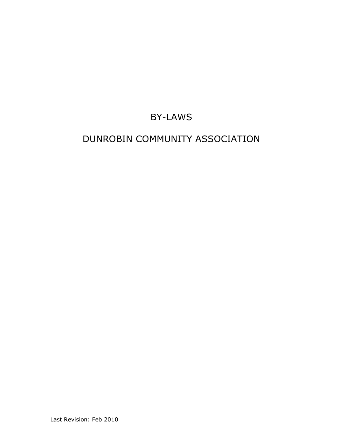# BY-LAWS

# DUNROBIN COMMUNITY ASSOCIATION

Last Revision: Feb 2010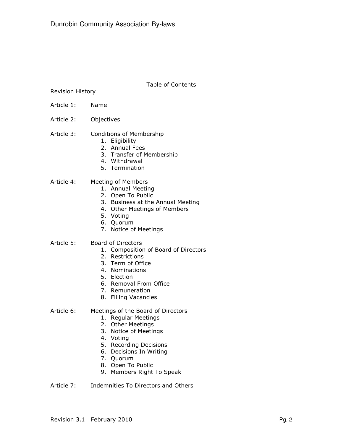Table of Contents

Revision History

- Article 1: Name
- Article 2: Objectives
- Article 3: Conditions of Membership
	- 1. Eligibility
	- 2. Annual Fees
	- 3. Transfer of Membership
	- 4. Withdrawal
	- 5. Termination

### Article 4: Meeting of Members

- 1. Annual Meeting
- 2. Open To Public
- 3. Business at the Annual Meeting
- 4. Other Meetings of Members
- 5. Voting
- 6. Quorum
- 7. Notice of Meetings
- Article 5: Board of Directors
	- 1. Composition of Board of Directors
	- 2. Restrictions
	- 3. Term of Office
	- 4. Nominations
	- 5. Election
	- 6. Removal From Office
	- 7. Remuneration
	- 8. Filling Vacancies
- Article 6: Meetings of the Board of Directors
	- 1. Regular Meetings
	- 2. Other Meetings
	- 3. Notice of Meetings
	- 4. Voting
	- 5. Recording Decisions
	- 6. Decisions In Writing
	- 7. Quorum
	- 8. Open To Public
	- 9. Members Right To Speak
- Article 7: Indemnities To Directors and Others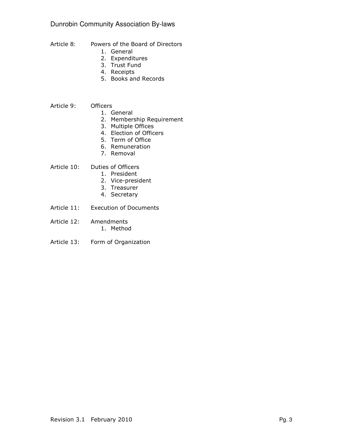# Dunrobin Community Association By-laws

- Article 8: Powers of the Board of Directors
	- 1. General
	- 2. Expenditures
	- 3. Trust Fund
	- 4. Receipts
	- 5. Books and Records
- Article 9: Officers
	- 1. General
	- 2. Membership Requirement
	- 3. Multiple Offices
	- 4. Election of Officers
	- 5. Term of Office
	- 6. Remuneration
	- 7. Removal
- Article 10: Duties of Officers
	- 1. President
	- 2. Vice-president
	- 3. Treasurer
	- 4. Secretary
- Article 11: Execution of Documents
- Article 12: Amendments 1. Method
- Article 13: Form of Organization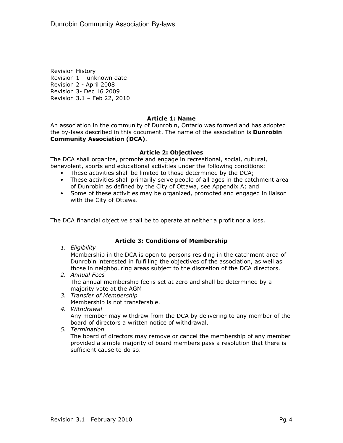Revision History Revision 1 – unknown date Revision 2 - April 2008 Revision 3- Dec 16 2009 Revision 3.1 – Feb 22, 2010

### Article 1: Name

An association in the community of Dunrobin, Ontario was formed and has adopted the by-laws described in this document. The name of the association is Dunrobin Community Association (DCA).

### Article 2: Objectives

The DCA shall organize, promote and engage in recreational, social, cultural, benevolent, sports and educational activities under the following conditions:

- These activities shall be limited to those determined by the DCA;
- These activities shall primarily serve people of all ages in the catchment area of Dunrobin as defined by the City of Ottawa, see Appendix A; and
- Some of these activities may be organized, promoted and engaged in liaison with the City of Ottawa.

The DCA financial objective shall be to operate at neither a profit nor a loss.

### Article 3: Conditions of Membership

1. Eligibility

Membership in the DCA is open to persons residing in the catchment area of Dunrobin interested in fulfilling the objectives of the association, as well as those in neighbouring areas subject to the discretion of the DCA directors.

- 2. Annual Fees The annual membership fee is set at zero and shall be determined by a majority vote at the AGM
- 3. Transfer of Membership Membership is not transferable.
- 4. Withdrawal

Any member may withdraw from the DCA by delivering to any member of the board of directors a written notice of withdrawal.

5. Termination

The board of directors may remove or cancel the membership of any member provided a simple majority of board members pass a resolution that there is sufficient cause to do so.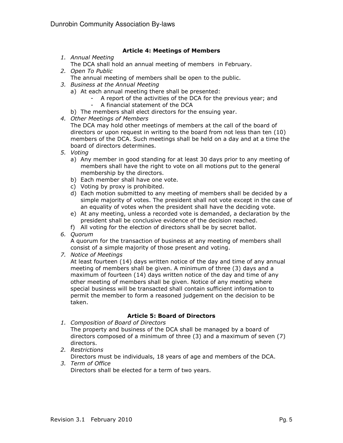## Article 4: Meetings of Members

- 1. Annual Meeting
- The DCA shall hold an annual meeting of members in February.
- 2. Open To Public
	- The annual meeting of members shall be open to the public.
- 3. Business at the Annual Meeting
	- a) At each annual meeting there shall be presented:
		- A report of the activities of the DCA for the previous year; and
		- A financial statement of the DCA
	- b) The members shall elect directors for the ensuing year.
- 4. Other Meetings of Members

The DCA may hold other meetings of members at the call of the board of directors or upon request in writing to the board from not less than ten (10) members of the DCA. Such meetings shall be held on a day and at a time the board of directors determines.

- 5. Voting
	- a) Any member in good standing for at least 30 days prior to any meeting of members shall have the right to vote on all motions put to the general membership by the directors.
	- b) Each member shall have one vote.
	- c) Voting by proxy is prohibited.
	- d) Each motion submitted to any meeting of members shall be decided by a simple majority of votes. The president shall not vote except in the case of an equality of votes when the president shall have the deciding vote.
	- e) At any meeting, unless a recorded vote is demanded, a declaration by the president shall be conclusive evidence of the decision reached.
	- f) All voting for the election of directors shall be by secret ballot.
- 6. Quorum

A quorum for the transaction of business at any meeting of members shall consist of a simple majority of those present and voting.

7. Notice of Meetings

At least fourteen (14) days written notice of the day and time of any annual meeting of members shall be given. A minimum of three (3) days and a maximum of fourteen (14) days written notice of the day and time of any other meeting of members shall be given. Notice of any meeting where special business will be transacted shall contain sufficient information to permit the member to form a reasoned judgement on the decision to be taken.

## Article 5: Board of Directors

- 1. Composition of Board of Directors The property and business of the DCA shall be managed by a board of directors composed of a minimum of three (3) and a maximum of seven (7) directors.
- 2. Restrictions Directors must be individuals, 18 years of age and members of the DCA. 3. Term of Office

Directors shall be elected for a term of two years.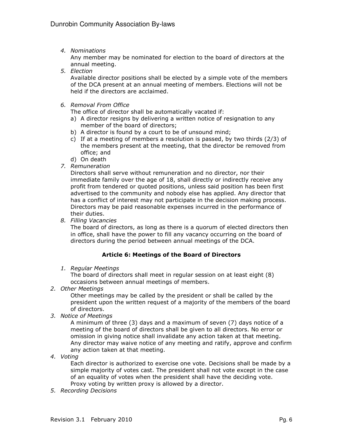4. Nominations

Any member may be nominated for election to the board of directors at the annual meeting.

5. Election

Available director positions shall be elected by a simple vote of the members of the DCA present at an annual meeting of members. Elections will not be held if the directors are acclaimed.

6. Removal From Office

The office of director shall be automatically vacated if:

- a) A director resigns by delivering a written notice of resignation to any member of the board of directors;
- b) A director is found by a court to be of unsound mind;
- c) If at a meeting of members a resolution is passed, by two thirds (2/3) of the members present at the meeting, that the director be removed from office; and
- d) On death
- 7. Remuneration

Directors shall serve without remuneration and no director, nor their immediate family over the age of 18, shall directly or indirectly receive any profit from tendered or quoted positions, unless said position has been first advertised to the community and nobody else has applied. Any director that has a conflict of interest may not participate in the decision making process. Directors may be paid reasonable expenses incurred in the performance of their duties.

8. Filling Vacancies

The board of directors, as long as there is a quorum of elected directors then in office, shall have the power to fill any vacancy occurring on the board of directors during the period between annual meetings of the DCA.

## Article 6: Meetings of the Board of Directors

1. Regular Meetings

The board of directors shall meet in regular session on at least eight (8) occasions between annual meetings of members.

2. Other Meetings

Other meetings may be called by the president or shall be called by the president upon the written request of a majority of the members of the board of directors.

3. Notice of Meetings

A minimum of three (3) days and a maximum of seven (7) days notice of a meeting of the board of directors shall be given to all directors. No error or omission in giving notice shall invalidate any action taken at that meeting. Any director may waive notice of any meeting and ratify, approve and confirm any action taken at that meeting.

4. Voting

Each director is authorized to exercise one vote. Decisions shall be made by a simple majority of votes cast. The president shall not vote except in the case of an equality of votes when the president shall have the deciding vote. Proxy voting by written proxy is allowed by a director.

5. Recording Decisions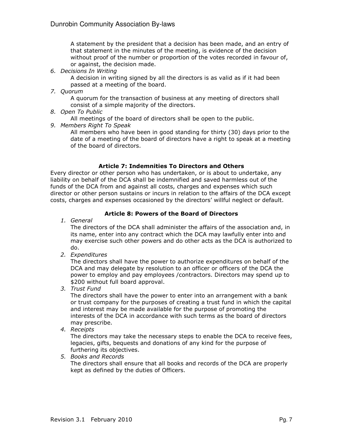A statement by the president that a decision has been made, and an entry of that statement in the minutes of the meeting, is evidence of the decision without proof of the number or proportion of the votes recorded in favour of, or against, the decision made.

6. Decisions In Writing

A decision in writing signed by all the directors is as valid as if it had been passed at a meeting of the board.

7. Quorum

A quorum for the transaction of business at any meeting of directors shall consist of a simple majority of the directors.

8. Open To Public

All meetings of the board of directors shall be open to the public.

9. Members Right To Speak

All members who have been in good standing for thirty (30) days prior to the date of a meeting of the board of directors have a right to speak at a meeting of the board of directors.

## Article 7: Indemnities To Directors and Others

Every director or other person who has undertaken, or is about to undertake, any liability on behalf of the DCA shall be indemnified and saved harmless out of the funds of the DCA from and against all costs, charges and expenses which such director or other person sustains or incurs in relation to the affairs of the DCA except costs, charges and expenses occasioned by the directors' willful neglect or default.

## Article 8: Powers of the Board of Directors

1. General

The directors of the DCA shall administer the affairs of the association and, in its name, enter into any contract which the DCA may lawfully enter into and may exercise such other powers and do other acts as the DCA is authorized to do.

2. Expenditures

The directors shall have the power to authorize expenditures on behalf of the DCA and may delegate by resolution to an officer or officers of the DCA the power to employ and pay employees /contractors. Directors may spend up to \$200 without full board approval.

3. Trust Fund

The directors shall have the power to enter into an arrangement with a bank or trust company for the purposes of creating a trust fund in which the capital and interest may be made available for the purpose of promoting the interests of the DCA in accordance with such terms as the board of directors may prescribe.

4. Receipts

The directors may take the necessary steps to enable the DCA to receive fees, legacies, gifts, bequests and donations of any kind for the purpose of furthering its objectives.

5. Books and Records The directors shall ensure that all books and records of the DCA are properly kept as defined by the duties of Officers.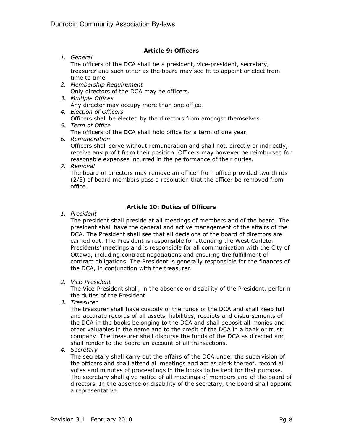## Article 9: Officers

1. General

The officers of the DCA shall be a president, vice-president, secretary, treasurer and such other as the board may see fit to appoint or elect from time to time.

- 2. Membership Requirement Only directors of the DCA may be officers.
- 3. Multiple Offices Any director may occupy more than one office.
- 4. Election of Officers Officers shall be elected by the directors from amongst themselves.
- 5. Term of Office

The officers of the DCA shall hold office for a term of one year.

6. Remuneration

Officers shall serve without remuneration and shall not, directly or indirectly, receive any profit from their position. Officers may however be reimbursed for reasonable expenses incurred in the performance of their duties.

7. Removal

The board of directors may remove an officer from office provided two thirds (2/3) of board members pass a resolution that the officer be removed from office.

## Article 10: Duties of Officers

1. President

The president shall preside at all meetings of members and of the board. The president shall have the general and active management of the affairs of the DCA. The President shall see that all decisions of the board of directors are carried out. The President is responsible for attending the West Carleton Presidents' meetings and is responsible for all communication with the City of Ottawa, including contract negotiations and ensuring the fulfillment of contract obligations. The President is generally responsible for the finances of the DCA, in conjunction with the treasurer.

2. Vice-President

The Vice-President shall, in the absence or disability of the President, perform the duties of the President.

3. Treasurer

The treasurer shall have custody of the funds of the DCA and shall keep full and accurate records of all assets, liabilities, receipts and disbursements of the DCA in the books belonging to the DCA and shall deposit all monies and other valuables in the name and to the credit of the DCA in a bank or trust company. The treasurer shall disburse the funds of the DCA as directed and shall render to the board an account of all transactions.

4. Secretary

The secretary shall carry out the affairs of the DCA under the supervision of the officers and shall attend all meetings and act as clerk thereof, record all votes and minutes of proceedings in the books to be kept for that purpose. The secretary shall give notice of all meetings of members and of the board of directors. In the absence or disability of the secretary, the board shall appoint a representative.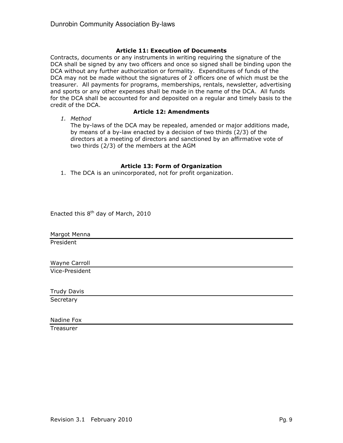## Article 11: Execution of Documents

Contracts, documents or any instruments in writing requiring the signature of the DCA shall be signed by any two officers and once so signed shall be binding upon the DCA without any further authorization or formality. Expenditures of funds of the DCA may not be made without the signatures of 2 officers one of which must be the treasurer. All payments for programs, memberships, rentals, newsletter, advertising and sports or any other expenses shall be made in the name of the DCA. All funds for the DCA shall be accounted for and deposited on a regular and timely basis to the credit of the DCA.

1. Method

## Article 12: Amendments

The by-laws of the DCA may be repealed, amended or major additions made, by means of a by-law enacted by a decision of two thirds (2/3) of the directors at a meeting of directors and sanctioned by an affirmative vote of two thirds (2/3) of the members at the AGM

## Article 13: Form of Organization

1. The DCA is an unincorporated, not for profit organization.

Enacted this  $8<sup>th</sup>$  day of March, 2010

Margot Menna

President

Wayne Carroll Vice-President

Trudy Davis

**Secretary** 

Nadine Fox

**Treasurer**